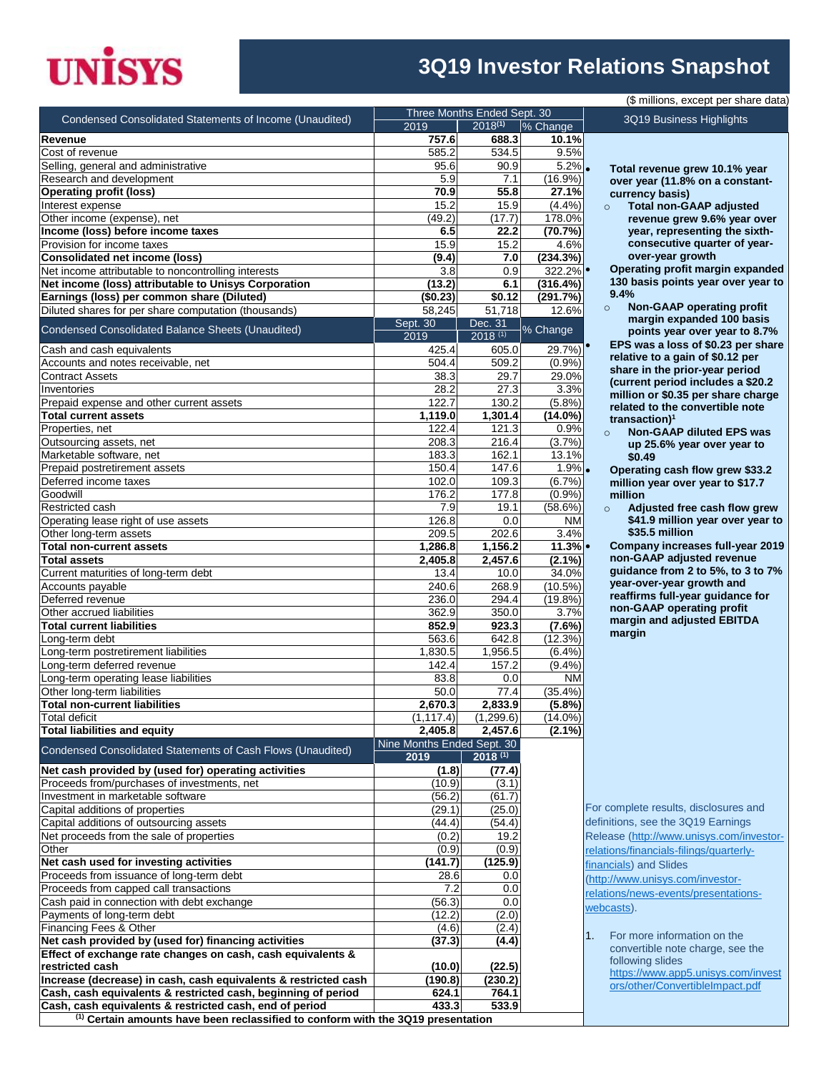# **UNISYS**

#### **3Q19 Investor Relations Snapshot**

| Condensed Consolidated Statements of Income (Unaudited)         | 2019                               | Three Months Ended Sept. 30<br>$2018^{(1)}$ | % Change         |
|-----------------------------------------------------------------|------------------------------------|---------------------------------------------|------------------|
| <b>Revenue</b>                                                  | 757.6                              | 688.3                                       | 10.1%            |
| Cost of revenue                                                 | 585.2                              | 534.5                                       | 9.5%             |
| Selling, general and administrative                             | 95.6                               | 90.9                                        | 5.2%             |
| Research and development                                        | 5.9                                | 7.1                                         | $(16.9\%)$       |
| <b>Operating profit (loss)</b>                                  | 70.9                               | 55.8                                        | 27.1%            |
| Interest expense                                                | 15.2                               | 15.9                                        | (4.4%)           |
| Other income (expense), net                                     | (49.2)                             | (17.7)                                      | 178.0%           |
| Income (loss) before income taxes                               | 6.5                                | 22.2                                        | (70.7%)          |
| Provision for income taxes                                      | 15.9                               | 15.2                                        | 4.6%             |
| <b>Consolidated net income (loss)</b>                           | (9.4)                              | 7.0                                         | (234.3%)         |
| Net income attributable to noncontrolling interests             | 3.8                                | 0.9                                         | 322.2%           |
| Net income (loss) attributable to Unisys Corporation            | (13.2)                             | 6.1                                         | (316.4%)         |
| Earnings (loss) per common share (Diluted)                      | (\$0.23)                           | \$0.12                                      | (291.7%)         |
| Diluted shares for per share computation (thousands)            | 58,245                             | 51,718                                      | 12.6%            |
| Condensed Consolidated Balance Sheets (Unaudited)               | Sept. 30<br>2019                   | Dec. 31<br>$2018^{(1)}$                     | % Change         |
| Cash and cash equivalents                                       | 425.4                              | 605.0                                       | 29.7%)           |
| Accounts and notes receivable, net                              | 504.4                              | 509.2                                       | (0.9%            |
| <b>Contract Assets</b>                                          | 38.3                               | 29.7                                        | 29.0%            |
| Inventories                                                     | 28.2                               | 27.3                                        | 3.3%             |
| Prepaid expense and other current assets                        | 122.7                              | 130.2                                       | (5.8%)           |
| <b>Total current assets</b>                                     | 1,119.0                            | 1,301.4                                     | $(14.0\%)$       |
| Properties, net                                                 | 122.4                              | 121.3                                       | 0.9%             |
| Outsourcing assets, net                                         | 208.3                              | 216.4                                       | (3.7%)           |
| Marketable software, net                                        | 183.3                              | 162.1                                       | 13.1%            |
| Prepaid postretirement assets                                   | 150.4                              | 147.6                                       | 1.9%             |
| Deferred income taxes<br>Goodwill                               | 102.0                              | 109.3                                       | (6.7%)           |
| Restricted cash                                                 | 176.2                              | 177.8<br>19.1                               | (0.9%<br>(58.6%) |
| Operating lease right of use assets                             | 7.9<br>126.8                       | 0.0                                         | NM               |
| Other long-term assets                                          | 209.5                              | 202.6                                       | 3.4%             |
| <b>Total non-current assets</b>                                 | 1,286.8                            | 1,156.2                                     | 11.3%            |
| <b>Total assets</b>                                             | 2,405.8                            | 2,457.6                                     | $(2.1\%)$        |
| Current maturities of long-term debt                            | 13.4                               | 10.0                                        | 34.0%            |
| Accounts payable                                                | 240.6                              | 268.9                                       | $(10.5\%)$       |
| Deferred revenue                                                | 236.0                              | 294.4                                       | $(19.8\%)$       |
| Other accrued liabilities                                       | 362.9                              | 350.0                                       | 3.7%             |
| <b>Total current liabilities</b>                                | 852.9                              | 923.3                                       | (7.6%)           |
| Long-term debt                                                  | 563.6                              | 642.8                                       | (12.3%)          |
| Long-term postretirement liabilities                            | 1,830.5                            | 1,956.5                                     | (6.4%)           |
| Long-term deferred revenue                                      | 142.4                              | 157.2                                       | (9.4% )          |
| Long-term operating lease liabilities                           | 83.8                               | 0.0                                         | <b>NM</b>        |
| Other long-term liabilities                                     | 50.0                               | 77.4                                        | (35.4%)          |
| <b>Total non-current liabilities</b>                            | 2,670.3                            | 2,833.9                                     | (5.8%)           |
| <b>Total deficit</b>                                            | (1, 117.4)                         | (1,299.6)                                   | $(14.0\%)$       |
| <b>Total liabilities and equity</b>                             | 2,405.8                            | 2,457.6                                     | $(2.1\%)$        |
| Condensed Consolidated Statements of Cash Flows (Unaudited)     | Nine Months Ended Sept. 30<br>2019 | $2018^{(1)}$                                |                  |
| Net cash provided by (used for) operating activities            | (1.8)                              | (77.4)                                      |                  |
| Proceeds from/purchases of investments, net                     | (10.9)                             | (3.1)                                       |                  |
| Investment in marketable software                               | (56.2)                             | (61.7)                                      |                  |
| Capital additions of properties                                 | (29.1)                             | (25.0)                                      |                  |
| Capital additions of outsourcing assets                         | (44.4)                             | (54.4)                                      |                  |
| Net proceeds from the sale of properties                        | (0.2)                              | 19.2                                        |                  |
| Other                                                           | (0.9)                              | (0.9)                                       |                  |
| Net cash used for investing activities                          | (141.7)                            | (125.9)                                     |                  |
| Proceeds from issuance of long-term debt                        | 28.6                               | 0.0                                         |                  |
| Proceeds from capped call transactions                          | 7.2                                | 0.0                                         |                  |
| Cash paid in connection with debt exchange                      | (56.3)                             | 0.0                                         |                  |
| Payments of long-term debt                                      | (12.2)                             | (2.0)                                       |                  |
| Financing Fees & Other                                          | (4.6)                              | (2.4)                                       |                  |
| Net cash provided by (used for) financing activities            | (37.3)                             | (4.4)                                       |                  |
| Effect of exchange rate changes on cash, cash equivalents &     |                                    |                                             |                  |
| restricted cash                                                 | (10.0)                             | (22.5)                                      |                  |
| Increase (decrease) in cash, cash equivalents & restricted cash | (190.8)                            | (230.2)                                     |                  |
| Cash, cash equivalents & restricted cash, beginning of period   | 624.1                              | 764.1                                       |                  |
| Cash, cash equivalents & restricted cash, end of period         | 433.3                              | 533.9                                       |                  |

 **Total revenue grew 10.1% year over year (11.8% on a constantcurrency basis)**

3Q19 Business Highlights

(\$ millions, except per share data)

o **Total non-GAAP adjusted revenue grew 9.6% year over year, representing the sixthconsecutive quarter of yearover-year growth**

 **Operating profit margin expanded 130 basis points year over year to 9.4%** 

o **Non-GAAP operating profit margin expanded 100 basis points year over year to 8.7% EPS was a loss of \$0.23 per share relative to a gain of \$0.12 per share in the prior-year period (current period includes a \$20.2 million or \$0.35 per share charge related to the convertible note transaction)<sup>1</sup>**

o **Non-GAAP diluted EPS was up 25.6% year over year to \$0.49**

 **Operating cash flow grew \$33.2 million year over year to \$17.7 million**

o **Adjusted free cash flow grew \$41.9 million year over year to \$35.5 million**

 **Company increases full-year 2019 non-GAAP adjusted revenue guidance from 2 to 5%, to 3 to 7% year-over-year growth and reaffirms full-year guidance for non-GAAP operating profit margin and adjusted EBITDA margin**

For complete results, disclosures and definitions, see the 3Q19 Earnings Release [\(http://www.unisys.com/investor](http://www.unisys.com/investor-relations/financials-filings/quarterly-financials)[relations/financials-filings/quarterly](http://www.unisys.com/investor-relations/financials-filings/quarterly-financials)[financials\)](http://www.unisys.com/investor-relations/financials-filings/quarterly-financials) and Slides [\(http://www.unisys.com/investor](http://www.unisys.com/investor-relations/news-events/presentations-webcasts)[relations/news-events/presentations](http://www.unisys.com/investor-relations/news-events/presentations-webcasts)[webcasts\)](http://www.unisys.com/investor-relations/news-events/presentations-webcasts).

1. For more information on the convertible note charge, see the following slides [https://www.app5.unisys.com/invest](https://www.app5.unisys.com/investors/other/ConvertibleImpact.pdf) [ors/other/ConvertibleImpact.pdf](https://www.app5.unisys.com/investors/other/ConvertibleImpact.pdf)

**(1) Certain amounts have been reclassified to conform with the 3Q19 presentation**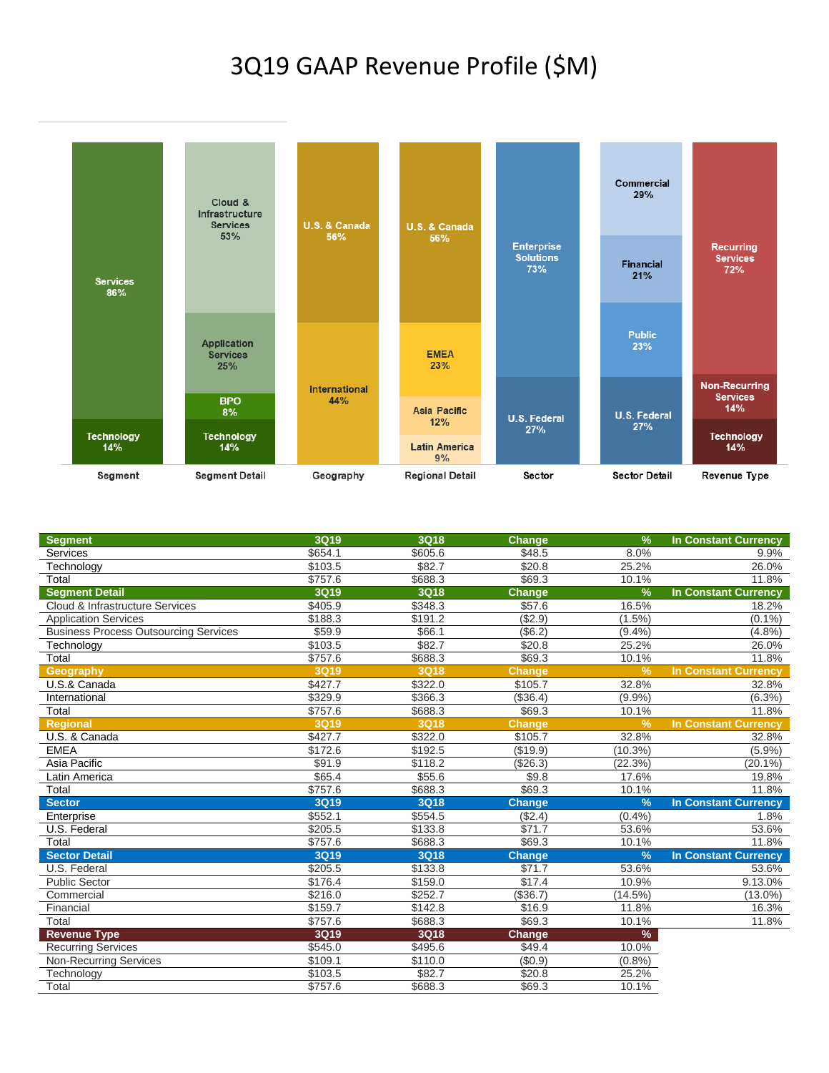#### 3Q19 GAAP Revenue Profile (\$M)



| <b>Segment</b>                               | <b>3Q19</b> | 3Q18        | Change        | $\frac{9}{6}$ | <b>In Constant Currency</b> |
|----------------------------------------------|-------------|-------------|---------------|---------------|-----------------------------|
| Services                                     | \$654.1     | \$605.6     | \$48.5        | 8.0%          | 9.9%                        |
| Technology                                   | \$103.5     | \$82.7      | \$20.8        | 25.2%         | 26.0%                       |
| Total                                        | \$757.6     | \$688.3     | \$69.3        | 10.1%         | 11.8%                       |
| <b>Segment Detail</b>                        | <b>3Q19</b> | 3Q18        | <b>Change</b> | $\frac{9}{6}$ | In Constant Currency        |
| Cloud & Infrastructure Services              | \$405.9     | \$348.3     | \$57.6        | 16.5%         | 18.2%                       |
| <b>Application Services</b>                  | \$188.3     | \$191.2     | (\$2.9)       | $(1.5\%)$     | $(0.1\%)$                   |
| <b>Business Process Outsourcing Services</b> | \$59.9      | \$66.1      | (\$6.2)       | (9.4%         | (4.8%)                      |
| Technology                                   | \$103.5     | \$82.7      | \$20.8        | 25.2%         | 26.0%                       |
| Total                                        | \$757.6     | \$688.3     | \$69.3        | 10.1%         | 11.8%                       |
| Geography                                    | <b>3Q19</b> | <b>3Q18</b> | <b>Change</b> | $\frac{9}{6}$ | <b>In Constant Currency</b> |
| U.S.& Canada                                 | \$427.7     | \$322.0     | \$105.7       | 32.8%         | 32.8%                       |
| International                                | \$329.9     | \$366.3     | (\$36.4)      | (9.9%         | $(6.3\%)$                   |
| Total                                        | \$757.6     | \$688.3     | \$69.3        | 10.1%         | 11.8%                       |
| <b>Regional</b>                              | <b>3Q19</b> | <b>3Q18</b> | <b>Change</b> | $\frac{9}{6}$ | <b>In Constant Currency</b> |
| U.S. & Canada                                | \$427.7     | \$322.0     | \$105.7       | 32.8%         | 32.8%                       |
| <b>EMEA</b>                                  | \$172.6     | \$192.5     | (\$19.9)      | $(10.3\%)$    | (5.9%)                      |
| Asia Pacific                                 | \$91.9      | \$118.2     | (\$26.3)      | (22.3%)       | $(20.1\%)$                  |
| Latin America                                | \$65.4      | \$55.6      | \$9.8         | 17.6%         | 19.8%                       |
| Total                                        | \$757.6     | \$688.3     | \$69.3        | 10.1%         | 11.8%                       |
| <b>Sector</b>                                | <b>3Q19</b> | <b>3Q18</b> | <b>Change</b> | $\frac{9}{6}$ | <b>In Constant Currency</b> |
| Enterprise                                   | \$552.1     | \$554.5     | (\$2.4)       | (0.4%         | 1.8%                        |
| U.S. Federal                                 | \$205.5     | \$133.8     | \$71.7        | 53.6%         | 53.6%                       |
| Total                                        | \$757.6     | \$688.3     | \$69.3        | 10.1%         | 11.8%                       |
| <b>Sector Detail</b>                         | <b>3Q19</b> | <b>3Q18</b> | <b>Change</b> | $\frac{9}{6}$ | <b>In Constant Currency</b> |
| U.S. Federal                                 | \$205.5     | \$133.8     | \$71.7        | 53.6%         | 53.6%                       |
| <b>Public Sector</b>                         | \$176.4     | \$159.0     | \$17.4        | 10.9%         | 9.13.0%                     |
| Commercial                                   | \$216.0     | \$252.7     | (\$36.7)      | (14.5%)       | $(13.0\%)$                  |
| Financial                                    | \$159.7     | \$142.8     | \$16.9        | 11.8%         | 16.3%                       |
| Total                                        | \$757.6     | \$688.3     | \$69.3        | 10.1%         | 11.8%                       |
| <b>Revenue Type</b>                          | 3Q19        | 3Q18        | Change        | %             |                             |
| <b>Recurring Services</b>                    | \$545.0     | \$495.6     | \$49.4        | 10.0%         |                             |
| <b>Non-Recurring Services</b>                | \$109.1     | \$110.0     | (\$0.9)       | (0.8%         |                             |
| Technology                                   | \$103.5     | \$82.7      | \$20.8        | 25.2%         |                             |
| Total                                        | \$757.6     | \$688.3     | \$69.3        | 10.1%         |                             |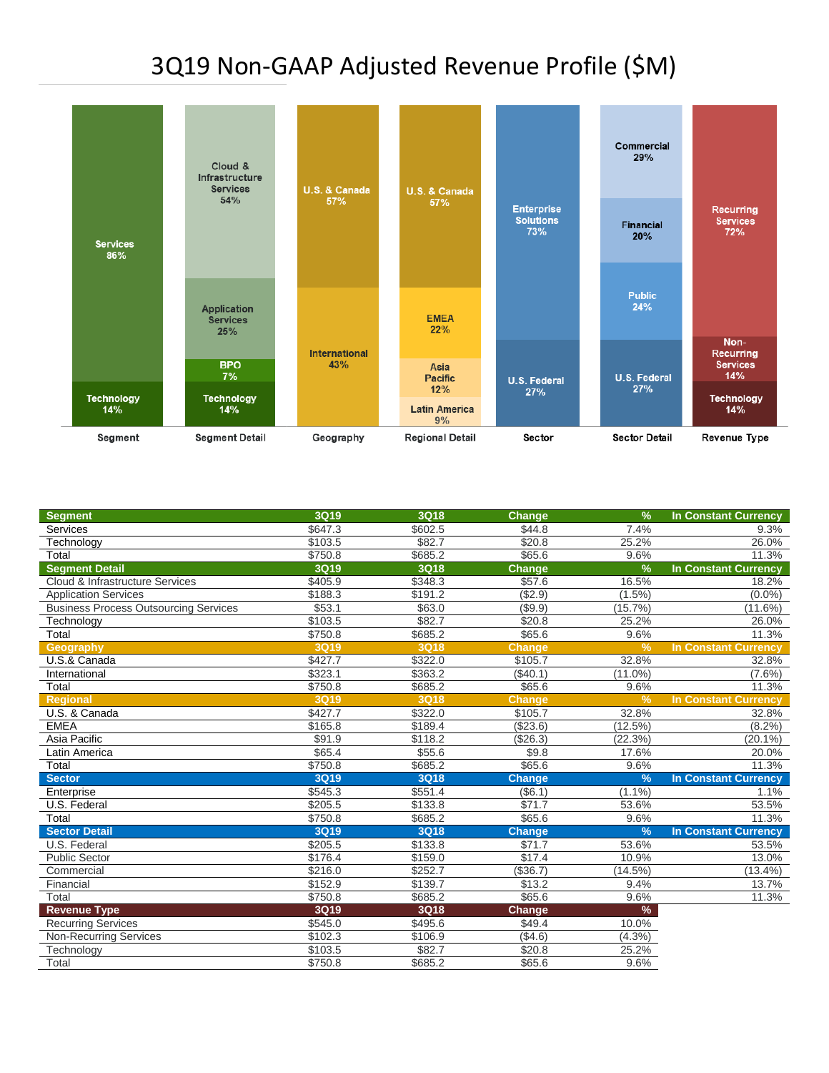## 3Q19 Non-GAAP Adjusted Revenue Profile (\$M)



| <b>Services</b><br>\$647.3<br>\$602.5<br>\$44.8<br>7.4%<br>\$103.5<br>\$82.7<br>\$20.8<br>25.2%<br>Technology | 9.3%<br>26.0%               |
|---------------------------------------------------------------------------------------------------------------|-----------------------------|
|                                                                                                               |                             |
|                                                                                                               |                             |
| \$685.2<br>\$65.6<br>Total<br>\$750.8<br>9.6%                                                                 | 11.3%                       |
| <b>Segment Detail</b><br><b>3Q18</b><br>$\frac{9}{6}$<br><b>3Q19</b><br>Change                                | <b>In Constant Currency</b> |
| \$57.6<br>Cloud & Infrastructure Services<br>\$405.9<br>\$348.3<br>16.5%                                      | 18.2%                       |
| ( \$2.9)<br>\$188.3<br>\$191.2<br>$(1.5\%)$<br><b>Application Services</b>                                    | $(0.0\%)$                   |
| \$53.1<br>\$63.0<br>( \$9.9)<br>(15.7%)<br><b>Business Process Outsourcing Services</b>                       | $(11.6\%)$                  |
| \$82.7<br>\$20.8<br>\$103.5<br>25.2%<br>Technology                                                            | 26.0%                       |
| \$750.8<br>\$685.2<br>\$65.6<br>9.6%<br>Total                                                                 | 11.3%                       |
| <b>3Q18</b><br><b>3Q19</b><br>V <sub>o</sub><br>Geography<br><b>Change</b>                                    | <b>In Constant Currency</b> |
| \$427.7<br>\$322.0<br>\$105.7<br>32.8%<br>U.S.& Canada                                                        | 32.8%                       |
| \$323.1<br>\$363.2<br>(\$40.1)<br>$(11.0\%)$<br>International                                                 | $(7.6\%)$                   |
| \$65.6<br>Total<br>\$750.8<br>\$685.2<br>9.6%                                                                 | 11.3%                       |
| <b>3Q19</b><br><b>3Q18</b><br>$\frac{9}{6}$<br><b>Regional</b><br><b>Change</b>                               | <b>In Constant Currency</b> |
| \$427.7<br>\$322.0<br>\$105.7<br>32.8%<br>U.S. & Canada                                                       | 32.8%                       |
| <b>EMEA</b><br>\$165.8<br>\$189.4<br>( \$23.6)<br>(12.5%)                                                     | $(8.2\%)$                   |
| Asia Pacific<br>\$118.2<br>(22.3%)<br>\$91.9<br>(\$26.3)                                                      | $(20.1\%)$                  |
| \$65.4<br>\$55.6<br>\$9.8<br>17.6%<br>Latin America                                                           | 20.0%                       |
| \$685.2<br>\$65.6<br>Total<br>\$750.8<br>9.6%                                                                 | 11.3%                       |
| <b>Sector</b><br><b>3Q19</b><br><b>3Q18</b><br>$\frac{9}{6}$<br><b>Change</b>                                 | <b>In Constant Currency</b> |
| \$551.4<br>\$545.3<br>(\$6.1)<br>$(1.1\%)$<br>Enterprise                                                      | 1.1%                        |
| \$205.5<br>\$133.8<br>\$71.7<br>U.S. Federal<br>53.6%                                                         | 53.5%                       |
| \$65.6<br>Total<br>\$750.8<br>\$685.2<br>9.6%                                                                 | 11.3%                       |
| <b>Sector Detail</b><br><b>3Q18</b><br>$\frac{9}{6}$<br><b>3Q19</b><br><b>Change</b>                          | <b>In Constant Currency</b> |
| U.S. Federal<br>\$205.5<br>\$133.8<br>\$71.7<br>53.6%                                                         | 53.5%                       |
| <b>Public Sector</b><br>\$176.4<br>\$159.0<br>\$17.4<br>10.9%                                                 | 13.0%                       |
| \$216.0<br>\$252.7<br>(\$36.7)<br>(14.5%)<br>Commercial                                                       | $(13.4\%)$                  |
| \$152.9<br>\$139.7<br>\$13.2<br>9.4%<br>Financial                                                             | 13.7%                       |
| Total<br>\$65.6<br>\$750.8<br>\$685.2<br>9.6%                                                                 | 11.3%                       |
| <b>Revenue Type</b><br>3Q19<br>3Q18<br>$\%$<br><b>Change</b>                                                  |                             |
| \$49.4<br><b>Recurring Services</b><br>\$545.0<br>\$495.6<br>10.0%                                            |                             |
| ( \$4.6)<br>\$102.3<br>\$106.9<br>$(4.3\%)$<br><b>Non-Recurring Services</b>                                  |                             |
| \$82.7<br>25.2%<br>\$103.5<br>\$20.8<br>Technology                                                            |                             |
| \$65.6<br>\$750.8<br>\$685.2<br>9.6%<br>Total                                                                 |                             |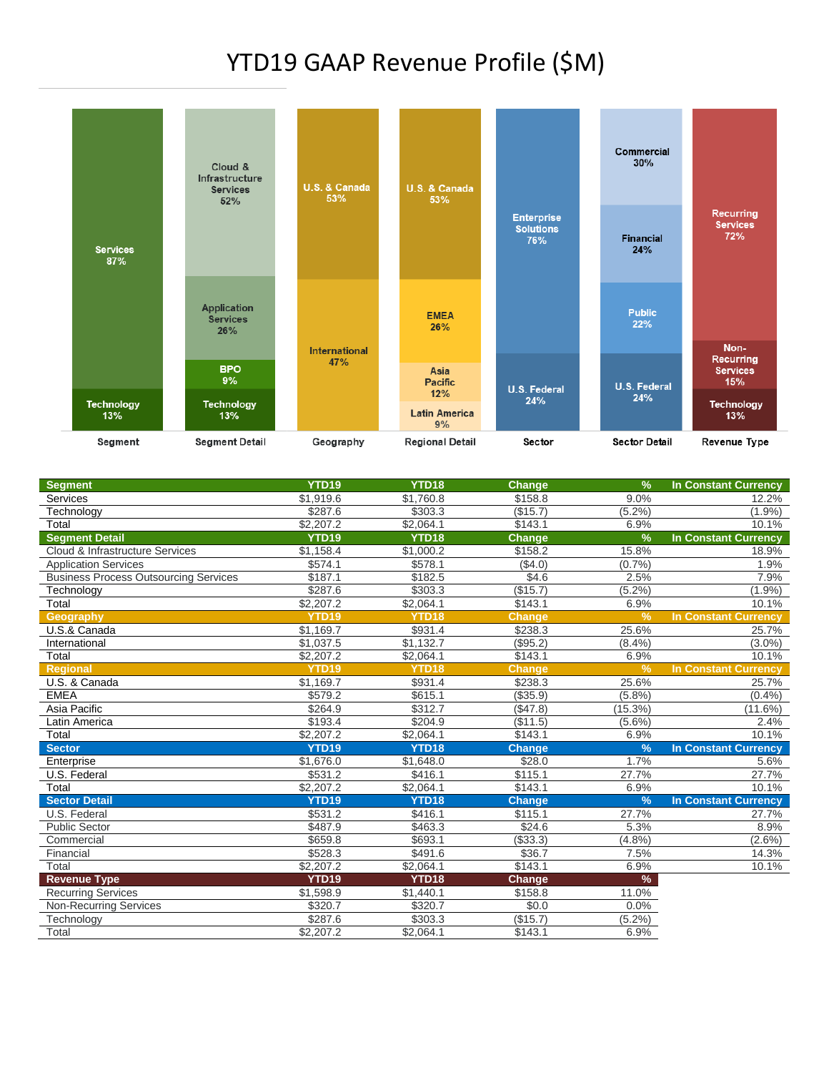#### YTD19 GAAP Revenue Profile (\$M)



| <b>Segment</b>                               | <b>YTD19</b>      | YTD <sub>18</sub> | <b>Change</b> | $\frac{9}{6}$ | <b>In Constant Currency</b> |
|----------------------------------------------|-------------------|-------------------|---------------|---------------|-----------------------------|
| Services                                     | \$1,919.6         | \$1,760.8         | \$158.8       | 9.0%          | 12.2%                       |
| Technology                                   | \$287.6           | \$303.3           | (\$15.7)      | $(5.2\%)$     | $(1.9\%)$                   |
| Total                                        | \$2,207.2         | \$2,064.1         | \$143.1       | 6.9%          | 10.1%                       |
| <b>Segment Detail</b>                        | <b>YTD19</b>      | YTD <sub>18</sub> | <b>Change</b> | $\frac{9}{6}$ | <b>In Constant Currency</b> |
| Cloud & Infrastructure Services              | \$1,158.4         | \$1,000.2         | \$158.2       | 15.8%         | 18.9%                       |
| <b>Application Services</b>                  | \$574.1           | \$578.1           | (\$4.0)       | (0.7%         | 1.9%                        |
| <b>Business Process Outsourcing Services</b> | \$187.1           | \$182.5           | \$4.6         | 2.5%          | 7.9%                        |
| Technology                                   | \$287.6           | \$303.3           | (\$15.7)      | (5.2%)        | (1.9%                       |
| Total                                        | \$2,207.2         | \$2,064.1         | \$143.1       | 6.9%          | 10.1%                       |
| Geography                                    | YTD <sub>19</sub> | YTD <sub>18</sub> | <b>Change</b> | $\frac{9}{6}$ | <b>In Constant Currency</b> |
| U.S.& Canada                                 | \$1,169.7         | \$931.4           | \$238.3       | 25.6%         | 25.7%                       |
| International                                | \$1,037.5         | \$1,132.7         | ( \$95.2)     | (8.4%)        | $(3.0\%)$                   |
| Total                                        | \$2,207.2         | \$2.064.1         | \$143.1       | 6.9%          | 10.1%                       |
| <b>Regional</b>                              | <b>YTD19</b>      | YTD <sub>18</sub> | <b>Change</b> | $\frac{9}{6}$ | <b>In Constant Currency</b> |
| U.S. & Canada                                | \$1,169.7         | \$931.4           | \$238.3       | 25.6%         | 25.7%                       |
| <b>EMEA</b>                                  | \$579.2           | \$615.1           | (\$35.9)      | (5.8%)        | (0.4% )                     |
| Asia Pacific                                 | \$264.9           | \$312.7           | (\$47.8)      | (15.3%)       | $(11.6\%)$                  |
| Latin America                                | \$193.4           | \$204.9           | (\$11.5)      | $(5.6\%)$     | 2.4%                        |
| Total                                        | \$2,207.2         | \$2,064.1         | \$143.1       | 6.9%          | 10.1%                       |
| <b>Sector</b>                                | <b>YTD19</b>      | YTD18             | <b>Change</b> | $\frac{9}{6}$ | <b>In Constant Currency</b> |
| Enterprise                                   | \$1.676.0         | \$1,648.0         | \$28.0        | 1.7%          | 5.6%                        |
| U.S. Federal                                 | \$531.2           | \$416.1           | \$115.1       | 27.7%         | 27.7%                       |
| Total                                        | \$2,207.2         | \$2,064.1         | \$143.1       | 6.9%          | 10.1%                       |
| <b>Sector Detail</b>                         | YTD <sub>19</sub> | YTD <sub>18</sub> | <b>Change</b> | $\frac{9}{6}$ | <b>In Constant Currency</b> |
| U.S. Federal                                 | \$531.2           | \$416.1           | \$115.1       | 27.7%         | 27.7%                       |
| <b>Public Sector</b>                         | \$487.9           | \$463.3           | \$24.6        | 5.3%          | 8.9%                        |
| Commercial                                   | \$659.8           | \$693.1           | (\$33.3)      | (4.8%)        | $(2.6\%)$                   |
| Financial                                    | \$528.3           | \$491.6           | \$36.7        | 7.5%          | 14.3%                       |
| Total                                        | \$2,207.2         | \$2,064.1         | \$143.1       | 6.9%          | 10.1%                       |
| <b>Revenue Type</b>                          | YTD <sub>19</sub> | YTD <sub>18</sub> | Change        | $\%$          |                             |
| <b>Recurring Services</b>                    | \$1,598.9         | \$1,440.1         | \$158.8       | 11.0%         |                             |
| <b>Non-Recurring Services</b>                | \$320.7           | \$320.7           | \$0.0         | 0.0%          |                             |
| Technology                                   | \$287.6           | \$303.3           | (\$15.7)      | $(5.2\%)$     |                             |
| Total                                        | \$2,207.2         | \$2.064.1         | \$143.1       | 6.9%          |                             |